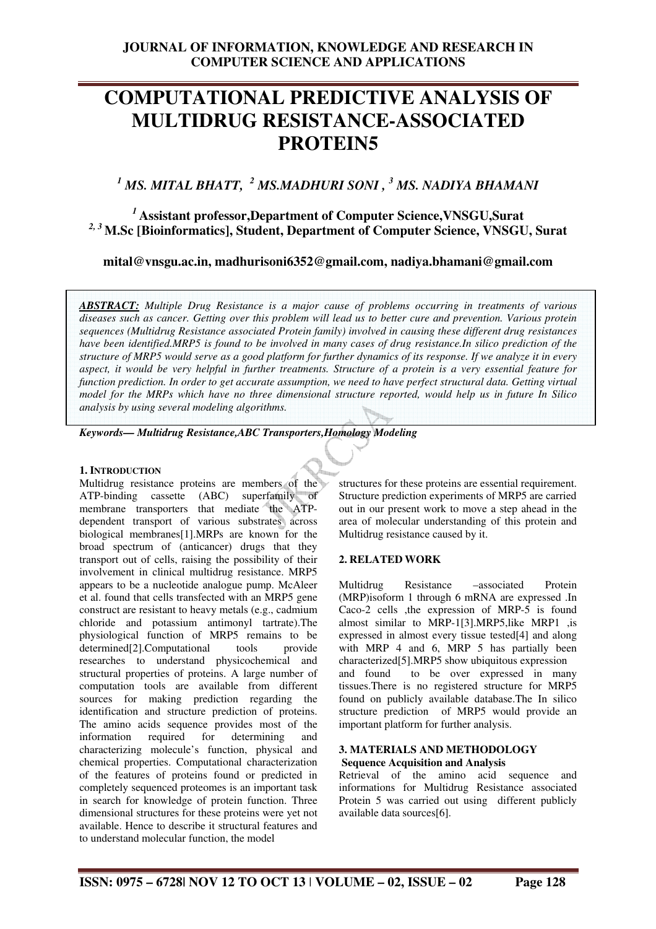# **COMPUTATIONAL PREDICTIVE ANALYSIS OF MULTIDRUG RESISTANCE-ASSOCIATED PROTEIN5**

# <sup>1</sup> MS. MITAL BHATT, <sup>2</sup> MS.MADHURI SONI , <sup>3</sup> MS. NADIYA BHAMANI

*<sup>1</sup>***Assistant professor,Department of Computer Science,VNSGU,Surat**  *2, 3* **M.Sc [Bioinformatics], Student, Department of Computer Science, VNSGU, Surat** 

**mital@vnsgu.ac.in, madhurisoni6352@gmail.com, nadiya.bhamani@gmail.com** 

*ABSTRACT: Multiple Drug Resistance is a major cause of problems occurring in treatments of various diseases such as cancer. Getting over this problem will lead us to better cure and prevention. Various protein sequences (Multidrug Resistance associated Protein family) involved in causing these different drug resistances have been identified.MRP5 is found to be involved in many cases of drug resistance.In silico prediction of the structure of MRP5 would serve as a good platform for further dynamics of its response. If we analyze it in every aspect, it would be very helpful in further treatments. Structure of a protein is a very essential feature for function prediction. In order to get accurate assumption, we need to have perfect structural data. Getting virtual model for the MRPs which have no three dimensional structure reported, would help us in future In Silico analysis by using several modeling algorithms.* 

*Keywords— Multidrug Resistance,ABC Transporters,Homology Modeling* 

#### **1. INTRODUCTION**

Multidrug resistance proteins are members of the ATP-binding cassette (ABC) superfamily of membrane transporters that mediate the ATPdependent transport of various substrates across biological membranes[1].MRPs are known for the broad spectrum of (anticancer) drugs that they transport out of cells, raising the possibility of their involvement in clinical multidrug resistance. MRP5 appears to be a nucleotide analogue pump. McAleer et al. found that cells transfected with an MRP5 gene construct are resistant to heavy metals (e.g., cadmium chloride and potassium antimonyl tartrate).The physiological function of MRP5 remains to be<br>determined [2]. Computational tools provide  $determined[2].Computational$  tools researches to understand physicochemical and structural properties of proteins. A large number of computation tools are available from different sources for making prediction regarding the identification and structure prediction of proteins. The amino acids sequence provides most of the information required for determining and characterizing molecule's function, physical and chemical properties. Computational characterization of the features of proteins found or predicted in completely sequenced proteomes is an important task in search for knowledge of protein function. Three dimensional structures for these proteins were yet not available. Hence to describe it structural features and to understand molecular function, the model

structures for these proteins are essential requirement. Structure prediction experiments of MRP5 are carried out in our present work to move a step ahead in the area of molecular understanding of this protein and Multidrug resistance caused by it.

## **2. RELATED WORK**

Multidrug Resistance –associated Protein (MRP)isoform 1 through 6 mRNA are expressed .In Caco-2 cells ,the expression of MRP-5 is found almost similar to MRP-1[3].MRP5,like MRP1 ,is expressed in almost every tissue tested[4] and along with MRP 4 and 6, MRP 5 has partially been characterized[5].MRP5 show ubiquitous expression and found to be over expressed in many tissues.There is no registered structure for MRP5 found on publicly available database.The In silico structure prediction of MRP5 would provide an important platform for further analysis.

#### **3. MATERIALS AND METHODOLOGY Sequence Acquisition and Analysis**

Retrieval of the amino acid sequence and informations for Multidrug Resistance associated Protein 5 was carried out using different publicly available data sources[6].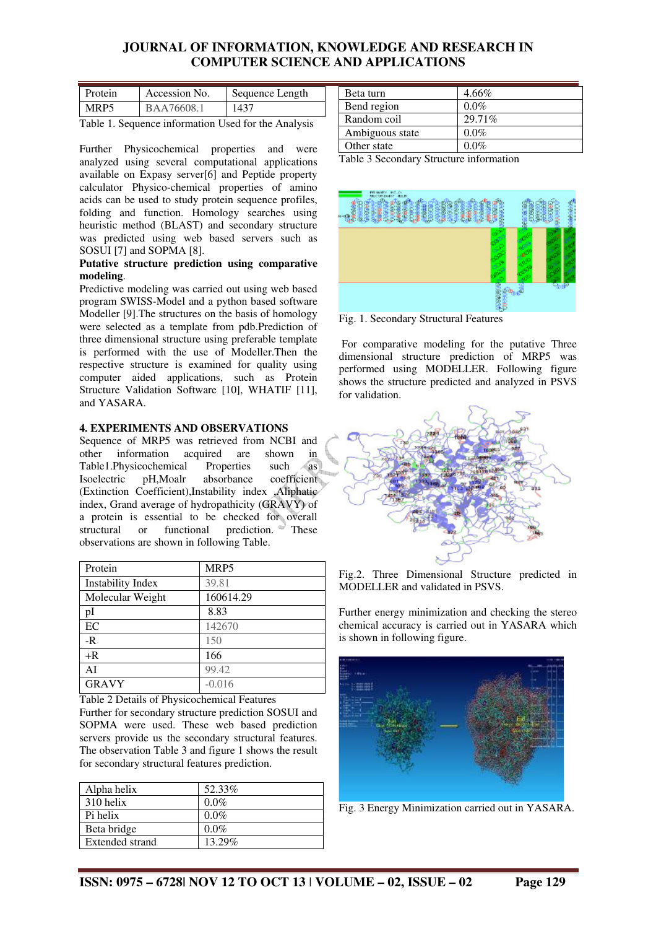# **JOURNAL OF INFORMATION, KNOWLEDGE AND RESEARCH IN COMPUTER SCIENCE AND APPLICATIONS**

| Protein          | Accession No. | Sequence Length |
|------------------|---------------|-----------------|
| MRP <sub>5</sub> | BAA76608.1    | 1437            |

Table 1. Sequence information Used for the Analysis

Further Physicochemical properties and were analyzed using several computational applications available on Expasy server[6] and Peptide property calculator Physico-chemical properties of amino acids can be used to study protein sequence profiles, folding and function. Homology searches using heuristic method (BLAST) and secondary structure was predicted using web based servers such as SOSUI [7] and SOPMA [8].

#### **Putative structure prediction using comparative modeling**.

Predictive modeling was carried out using web based program SWISS-Model and a python based software Modeller [9].The structures on the basis of homology were selected as a template from pdb.Prediction of three dimensional structure using preferable template is performed with the use of Modeller.Then the respective structure is examined for quality using computer aided applications, such as Protein Structure Validation Software [10], WHATIF [11], and YASARA.

## **4. EXPERIMENTS AND OBSERVATIONS**

Sequence of MRP5 was retrieved from NCBI and other information acquired are shown in<br>Table1.Physicochemical Properties such as Table1.Physicochemical Properties such as<br>Isoelectric pH.Moalr absorbance coefficient absorbance coefficient (Extinction Coefficient),Instability index ,Aliphatic index, Grand average of hydropathicity (GRAVY) of a protein is essential to be checked for overall structural or functional prediction. These observations are shown in following Table.

| Protein                  | MRP5      |
|--------------------------|-----------|
| <b>Instability Index</b> | 39.81     |
| Molecular Weight         | 160614.29 |
| pI                       | 8.83      |
| EC                       | 142670    |
| $-R$                     | 150       |
| $+R$                     | 166       |
| AI                       | 99.42     |
| <b>GRAVY</b>             | $-0.016$  |

Table 2 Details of Physicochemical Features

Further for secondary structure prediction SOSUI and SOPMA were used. These web based prediction servers provide us the secondary structural features. The observation Table 3 and figure 1 shows the result for secondary structural features prediction.

| Alpha helix     | 52.33%  |
|-----------------|---------|
| 310 helix       | $0.0\%$ |
| Pi helix        | $0.0\%$ |
| Beta bridge     | $0.0\%$ |
| Extended strand | 13.29%  |

| Beta turn       | $4.66\%$ |
|-----------------|----------|
| Bend region     | $0.0\%$  |
| Random coil     | 29.71%   |
| Ambiguous state | $0.0\%$  |
| Other state     | $0.0\%$  |

Table 3 Secondary Structure information



Fig. 1. Secondary Structural Features

 For comparative modeling for the putative Three dimensional structure prediction of MRP5 was performed using MODELLER. Following figure shows the structure predicted and analyzed in PSVS for validation.





Further energy minimization and checking the stereo chemical accuracy is carried out in YASARA which is shown in following figure.



Fig. 3 Energy Minimization carried out in YASARA.